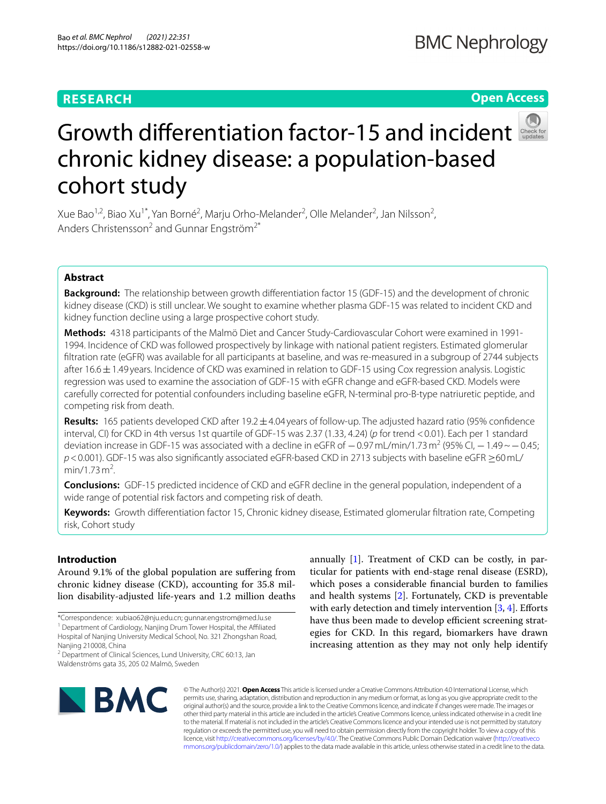# **RESEARCH**

# **Open Access**



# Growthdifferentiation factor-15 and incident chronic kidney disease: a population-based cohort study

Xue Bao<sup>1,2</sup>, Biao Xu<sup>1\*</sup>, Yan Borné<sup>2</sup>, Marju Orho-Melander<sup>2</sup>, Olle Melander<sup>2</sup>, Jan Nilsson<sup>2</sup>, Anders Christensson<sup>2</sup> and Gunnar Engström<sup>2\*</sup>

# **Abstract**

**Background:** The relationship between growth diferentiation factor 15 (GDF-15) and the development of chronic kidney disease (CKD) is still unclear. We sought to examine whether plasma GDF-15 was related to incident CKD and kidney function decline using a large prospective cohort study.

**Methods:** 4318 participants of the Malmö Diet and Cancer Study-Cardiovascular Cohort were examined in 1991-1994. Incidence of CKD was followed prospectively by linkage with national patient registers. Estimated glomerular fltration rate (eGFR) was available for all participants at baseline, and was re-measured in a subgroup of 2744 subjects after  $16.6 \pm 1.49$  years. Incidence of CKD was examined in relation to GDF-15 using Cox regression analysis. Logistic regression was used to examine the association of GDF-15 with eGFR change and eGFR-based CKD. Models were carefully corrected for potential confounders including baseline eGFR, N-terminal pro-B-type natriuretic peptide, and competing risk from death.

**Results:** 165 patients developed CKD after 19.2±4.04 years of follow-up. The adjusted hazard ratio (95% confdence interval, CI) for CKD in 4th versus 1st quartile of GDF-15 was 2.37 (1.33, 4.24) (*p* for trend <0.01). Each per 1 standard deviation increase in GDF-15 was associated with a decline in eGFR of  $-0.97$  mL/min/1.73 m<sup>2</sup> (95% CI,  $-1.49$  ~  $-0.45$ ; *p* < 0.001). GDF-15 was also significantly associated eGFR-based CKD in 2713 subjects with baseline eGFR ≥60 mL/ min/1.73 $\rm m^2$ . .

**Conclusions:** GDF-15 predicted incidence of CKD and eGFR decline in the general population, independent of a wide range of potential risk factors and competing risk of death.

**Keywords:** Growth diferentiation factor 15, Chronic kidney disease, Estimated glomerular fltration rate, Competing risk, Cohort study

# **Introduction**

Around 9.1% of the global population are sufering from chronic kidney disease (CKD), accounting for 35.8 million disability-adjusted life-years and 1.2 million deaths

<sup>2</sup> Department of Clinical Sciences, Lund University, CRC 60:13, Jan Waldenströms gata 35, 205 02 Malmö, Sweden

annually [[1\]](#page-7-0). Treatment of CKD can be costly, in particular for patients with end-stage renal disease (ESRD), which poses a considerable fnancial burden to families and health systems [[2\]](#page-7-1). Fortunately, CKD is preventable with early detection and timely intervention  $[3, 4]$  $[3, 4]$  $[3, 4]$ . Efforts have thus been made to develop efficient screening strategies for CKD. In this regard, biomarkers have drawn increasing attention as they may not only help identify



© The Author(s) 2021. **Open Access** This article is licensed under a Creative Commons Attribution 4.0 International License, which permits use, sharing, adaptation, distribution and reproduction in any medium or format, as long as you give appropriate credit to the original author(s) and the source, provide a link to the Creative Commons licence, and indicate if changes were made. The images or other third party material in this article are included in the article's Creative Commons licence, unless indicated otherwise in a credit line to the material. If material is not included in the article's Creative Commons licence and your intended use is not permitted by statutory regulation or exceeds the permitted use, you will need to obtain permission directly from the copyright holder. To view a copy of this licence, visit [http://creativecommons.org/licenses/by/4.0/.](http://creativecommons.org/licenses/by/4.0/) The Creative Commons Public Domain Dedication waiver ([http://creativeco](http://creativecommons.org/publicdomain/zero/1.0/) [mmons.org/publicdomain/zero/1.0/](http://creativecommons.org/publicdomain/zero/1.0/)) applies to the data made available in this article, unless otherwise stated in a credit line to the data.

<sup>\*</sup>Correspondence: xubiao62@nju.edu.cn; gunnar.engstrom@med.lu.se <sup>1</sup> Department of Cardiology, Nanjing Drum Tower Hospital, the Affiliated Hospital of Nanjing University Medical School, No. 321 Zhongshan Road,

Nanjing 210008, China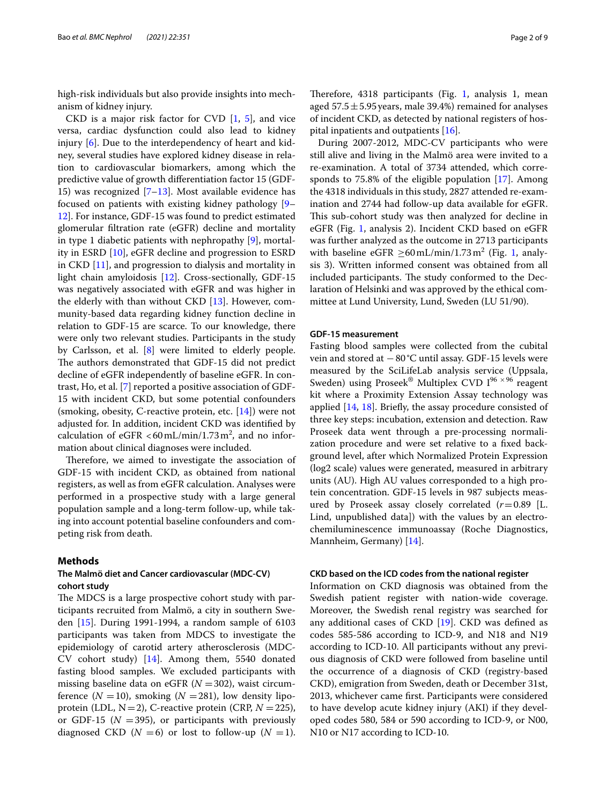high-risk individuals but also provide insights into mechanism of kidney injury.

CKD is a major risk factor for CVD  $[1, 5]$  $[1, 5]$  $[1, 5]$ , and vice versa, cardiac dysfunction could also lead to kidney injury [\[6](#page-7-5)]. Due to the interdependency of heart and kidney, several studies have explored kidney disease in relation to cardiovascular biomarkers, among which the predictive value of growth diferentiation factor 15 (GDF-15) was recognized [\[7–](#page-7-6)[13\]](#page-8-0). Most available evidence has focused on patients with existing kidney pathology [[9–](#page-7-7) [12\]](#page-7-8). For instance, GDF-15 was found to predict estimated glomerular fltration rate (eGFR) decline and mortality in type 1 diabetic patients with nephropathy [\[9](#page-7-7)], mortality in ESRD [[10\]](#page-7-9), eGFR decline and progression to ESRD in CKD [\[11\]](#page-7-10), and progression to dialysis and mortality in light chain amyloidosis [\[12](#page-7-8)]. Cross-sectionally, GDF-15 was negatively associated with eGFR and was higher in the elderly with than without CKD [\[13\]](#page-8-0). However, community-based data regarding kidney function decline in relation to GDF-15 are scarce. To our knowledge, there were only two relevant studies. Participants in the study by Carlsson, et al. [\[8](#page-7-11)] were limited to elderly people. The authors demonstrated that GDF-15 did not predict decline of eGFR independently of baseline eGFR. In contrast, Ho, et al. [\[7](#page-7-6)] reported a positive association of GDF-15 with incident CKD, but some potential confounders (smoking, obesity, C-reactive protein, etc. [\[14\]](#page-8-1)) were not adjusted for. In addition, incident CKD was identifed by calculation of  $eGFR < 60 \,\text{mL/min}/1.73 \,\text{m}^2$ , and no information about clinical diagnoses were included.

Therefore, we aimed to investigate the association of GDF-15 with incident CKD, as obtained from national registers, as well as from eGFR calculation. Analyses were performed in a prospective study with a large general population sample and a long-term follow-up, while taking into account potential baseline confounders and competing risk from death.

## **Methods**

# **The Malmö diet and Cancer cardiovascular (MDC‑CV) cohort study**

The MDCS is a large prospective cohort study with participants recruited from Malmö, a city in southern Sweden [\[15\]](#page-8-2). During 1991-1994, a random sample of 6103 participants was taken from MDCS to investigate the epidemiology of carotid artery atherosclerosis (MDC-CV cohort study) [\[14](#page-8-1)]. Among them, 5540 donated fasting blood samples. We excluded participants with missing baseline data on eGFR  $(N = 302)$ , waist circumference  $(N = 10)$ , smoking  $(N = 281)$ , low density lipoprotein (LDL,  $N=2$ ), C-reactive protein (CRP,  $N=225$ ), or GDF-15 ( $N = 395$ ), or participants with previously diagnosed CKD ( $N = 6$ ) or lost to follow-up ( $N = 1$ ).

Therefore,  $4318$  $4318$  $4318$  participants (Fig. 1, analysis 1, mean aged  $57.5 \pm 5.95$  years, male 39.4%) remained for analyses of incident CKD, as detected by national registers of hospital inpatients and outpatients [\[16](#page-8-3)].

During 2007-2012, MDC-CV participants who were still alive and living in the Malmö area were invited to a re-examination. A total of 3734 attended, which corresponds to 75.8% of the eligible population [\[17](#page-8-4)]. Among the 4318 individuals in this study, 2827 attended re-examination and 2744 had follow-up data available for eGFR. This sub-cohort study was then analyzed for decline in eGFR (Fig. [1,](#page-2-0) analysis 2). Incident CKD based on eGFR was further analyzed as the outcome in 2713 participants with baseline  $eGFR \ge 60 \text{ mL/min}/1.73 \text{ m}^2$  $eGFR \ge 60 \text{ mL/min}/1.73 \text{ m}^2$  $eGFR \ge 60 \text{ mL/min}/1.73 \text{ m}^2$  (Fig. 1, analysis 3). Written informed consent was obtained from all included participants. The study conformed to the Declaration of Helsinki and was approved by the ethical committee at Lund University, Lund, Sweden (LU 51/90).

## **GDF‑15 measurement**

Fasting blood samples were collected from the cubital vein and stored at −80°C until assay. GDF-15 levels were measured by the SciLifeLab analysis service (Uppsala, Sweden) using Proseek® Multiplex CVD  $I^{96 \times 96}$  reagent kit where a Proximity Extension Assay technology was applied [[14,](#page-8-1) [18](#page-8-5)]. Briefy, the assay procedure consisted of three key steps: incubation, extension and detection. Raw Proseek data went through a pre-processing normalization procedure and were set relative to a fxed background level, after which Normalized Protein Expression (log2 scale) values were generated, measured in arbitrary units (AU). High AU values corresponded to a high protein concentration. GDF-15 levels in 987 subjects measured by Proseek assay closely correlated (*r*=0.89 [L. Lind, unpublished data]) with the values by an electrochemiluminescence immunoassay (Roche Diagnostics, Mannheim, Germany) [\[14](#page-8-1)].

## **CKD based on the ICD codes from the national register**

Information on CKD diagnosis was obtained from the Swedish patient register with nation-wide coverage. Moreover, the Swedish renal registry was searched for any additional cases of CKD [[19\]](#page-8-6). CKD was defned as codes 585-586 according to ICD-9, and N18 and N19 according to ICD-10. All participants without any previous diagnosis of CKD were followed from baseline until the occurrence of a diagnosis of CKD (registry-based CKD), emigration from Sweden, death or December 31st, 2013, whichever came frst. Participants were considered to have develop acute kidney injury (AKI) if they developed codes 580, 584 or 590 according to ICD-9, or N00, N10 or N17 according to ICD-10.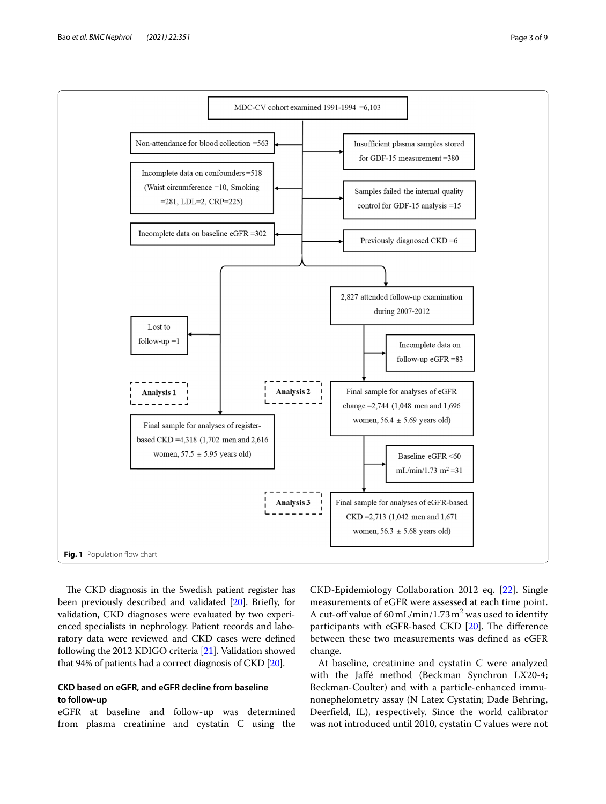

<span id="page-2-0"></span>The CKD diagnosis in the Swedish patient register has been previously described and validated [\[20](#page-8-7)]. Briefy, for validation, CKD diagnoses were evaluated by two experienced specialists in nephrology. Patient records and laboratory data were reviewed and CKD cases were defned following the 2012 KDIGO criteria [\[21\]](#page-8-8). Validation showed that 94% of patients had a correct diagnosis of CKD [\[20\]](#page-8-7).

# **CKD based on eGFR, and eGFR decline from baseline to follow‑up**

eGFR at baseline and follow-up was determined from plasma creatinine and cystatin C using the CKD-Epidemiology Collaboration 2012 eq. [\[22\]](#page-8-9). Single measurements of eGFR were assessed at each time point. A cut-off value of  $60 \,\text{mL/min}/1.73 \,\text{m}^2$  was used to identify participants with eGFR-based CKD [\[20](#page-8-7)]. The difference between these two measurements was defned as eGFR change.

At baseline, creatinine and cystatin C were analyzed with the Jafé method (Beckman Synchron LX20-4; Beckman-Coulter) and with a particle-enhanced immunonephelometry assay (N Latex Cystatin; Dade Behring, Deerfeld, IL), respectively. Since the world calibrator was not introduced until 2010, cystatin C values were not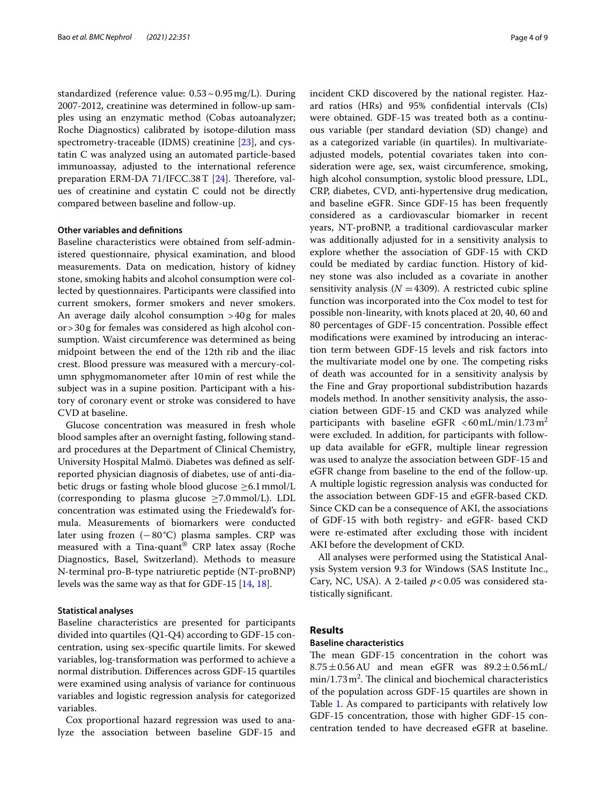standardized (reference value: 0.53~0.95mg/L). During 2007-2012, creatinine was determined in follow-up samples using an enzymatic method (Cobas autoanalyzer; Roche Diagnostics) calibrated by isotope-dilution mass spectrometry-traceable (IDMS) creatinine [\[23\]](#page-8-10), and cystatin C was analyzed using an automated particle-based immunoassay, adjusted to the international reference preparation ERM-DA 71/IFCC.38  $T$  [[24](#page-8-11)]. Therefore, values of creatinine and cystatin C could not be directly compared between baseline and follow-up.

## **Other variables and defnitions**

Baseline characteristics were obtained from self-administered questionnaire, physical examination, and blood measurements. Data on medication, history of kidney stone, smoking habits and alcohol consumption were collected by questionnaires. Participants were classifed into current smokers, former smokers and never smokers. An average daily alcohol consumption >40g for males or>30g for females was considered as high alcohol consumption. Waist circumference was determined as being midpoint between the end of the 12th rib and the iliac crest. Blood pressure was measured with a mercury-column sphygmomanometer after 10min of rest while the subject was in a supine position. Participant with a history of coronary event or stroke was considered to have CVD at baseline.

Glucose concentration was measured in fresh whole blood samples after an overnight fasting, following standard procedures at the Department of Clinical Chemistry, University Hospital Malmö. Diabetes was defned as selfreported physician diagnosis of diabetes, use of anti-diabetic drugs or fasting whole blood glucose  $\geq 6.1$  mmol/L (corresponding to plasma glucose  $\geq$ 7.0mmol/L). LDL concentration was estimated using the Friedewald's formula. Measurements of biomarkers were conducted later using frozen  $(-80^{\circ}C)$  plasma samples. CRP was measured with a Tina-quant® CRP latex assay (Roche Diagnostics, Basel, Switzerland). Methods to measure N-terminal pro-B-type natriuretic peptide (NT-proBNP) levels was the same way as that for GDF-15 [[14,](#page-8-1) [18](#page-8-5)].

## **Statistical analyses**

Baseline characteristics are presented for participants divided into quartiles (Q1-Q4) according to GDF-15 concentration, using sex-specifc quartile limits. For skewed variables, log-transformation was performed to achieve a normal distribution. Diferences across GDF-15 quartiles were examined using analysis of variance for continuous variables and logistic regression analysis for categorized variables.

Cox proportional hazard regression was used to analyze the association between baseline GDF-15 and incident CKD discovered by the national register. Hazard ratios (HRs) and 95% confdential intervals (CIs) were obtained. GDF-15 was treated both as a continuous variable (per standard deviation (SD) change) and as a categorized variable (in quartiles). In multivariateadjusted models, potential covariates taken into consideration were age, sex, waist circumference, smoking, high alcohol consumption, systolic blood pressure, LDL, CRP, diabetes, CVD, anti-hypertensive drug medication, and baseline eGFR. Since GDF-15 has been frequently considered as a cardiovascular biomarker in recent years, NT-proBNP, a traditional cardiovascular marker was additionally adjusted for in a sensitivity analysis to explore whether the association of GDF-15 with CKD could be mediated by cardiac function. History of kidney stone was also included as a covariate in another sensitivity analysis  $(N = 4309)$ . A restricted cubic spline function was incorporated into the Cox model to test for possible non-linearity, with knots placed at 20, 40, 60 and 80 percentages of GDF-15 concentration. Possible efect modifcations were examined by introducing an interaction term between GDF-15 levels and risk factors into the multivariate model one by one. The competing risks of death was accounted for in a sensitivity analysis by the Fine and Gray proportional subdistribution hazards models method. In another sensitivity analysis, the association between GDF-15 and CKD was analyzed while participants with baseline eGFR  $\lt$  60 mL/min/1.73 m<sup>2</sup> were excluded. In addition, for participants with followup data available for eGFR, multiple linear regression was used to analyze the association between GDF-15 and eGFR change from baseline to the end of the follow-up. A multiple logistic regression analysis was conducted for the association between GDF-15 and eGFR-based CKD. Since CKD can be a consequence of AKI, the associations of GDF-15 with both registry- and eGFR- based CKD were re-estimated after excluding those with incident AKI before the development of CKD.

All analyses were performed using the Statistical Analysis System version 9.3 for Windows (SAS Institute Inc., Cary, NC, USA). A 2-tailed *p*<0.05 was considered statistically signifcant.

# **Results**

# **Baseline characteristics**

The mean GDF-15 concentration in the cohort was  $8.75\pm0.56$  AU and mean eGFR was  $89.2\pm0.56$  mL/  $min/1.73 m<sup>2</sup>$ . The clinical and biochemical characteristics of the population across GDF-15 quartiles are shown in Table [1](#page-4-0). As compared to participants with relatively low GDF-15 concentration, those with higher GDF-15 concentration tended to have decreased eGFR at baseline.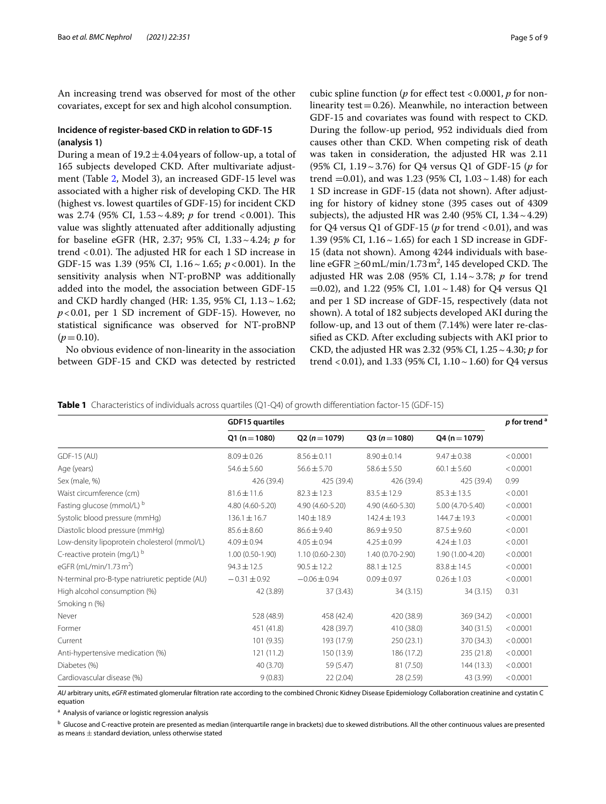An increasing trend was observed for most of the other covariates, except for sex and high alcohol consumption.

# **Incidence of register‑based CKD in relation to GDF‑15 (analysis 1)**

During a mean of  $19.2 \pm 4.04$  years of follow-up, a total of 165 subjects developed CKD. After multivariate adjustment (Table [2](#page-5-0), Model 3), an increased GDF-15 level was associated with a higher risk of developing CKD. The HR (highest vs. lowest quartiles of GDF-15) for incident CKD was 2.74 (95% CI, 1.53~4.89; *p* for trend <0.001). This value was slightly attenuated after additionally adjusting for baseline eGFR (HR, 2.37; 95% CI, 1.33~4.24; *p* for trend  $< 0.01$ ). The adjusted HR for each 1 SD increase in GDF-15 was 1.39 (95% CI, 1.16~1.65; *p*<0.001). In the sensitivity analysis when NT-proBNP was additionally added into the model, the association between GDF-15 and CKD hardly changed (HR: 1.35, 95% CI, 1.13~1.62; *p*<0.01, per 1 SD increment of GDF-15). However, no statistical signifcance was observed for NT-proBNP  $(p=0.10)$ .

No obvious evidence of non-linearity in the association between GDF-15 and CKD was detected by restricted cubic spline function (*p* for effect test <0.0001, *p* for nonlinearity test  $=0.26$ ). Meanwhile, no interaction between GDF-15 and covariates was found with respect to CKD. During the follow-up period, 952 individuals died from causes other than CKD. When competing risk of death was taken in consideration, the adjusted HR was 2.11 (95% CI, 1.19~3.76) for Q4 versus Q1 of GDF-15 (*p* for trend  $=0.01$ ), and was 1.23 (95% CI, 1.03  $\sim$  1.48) for each 1 SD increase in GDF-15 (data not shown). After adjusting for history of kidney stone (395 cases out of 4309 subjects), the adjusted HR was 2.40 (95% CI,  $1.34 \sim 4.29$ ) for Q4 versus Q1 of GDF-15 ( $p$  for trend <0.01), and was 1.39 (95% CI, 1.16~1.65) for each 1 SD increase in GDF-15 (data not shown). Among 4244 individuals with baseline eGFR  $\geq$  60 mL/min/1.73 m<sup>2</sup>, 145 developed CKD. The adjusted HR was 2.08 (95% CI, 1.14~3.78; *p* for trend  $=0.02$ ), and 1.22 (95% CI, 1.01 ~ 1.48) for Q4 versus Q1 and per 1 SD increase of GDF-15, respectively (data not shown). A total of 182 subjects developed AKI during the follow-up, and 13 out of them (7.14%) were later re-classifed as CKD. After excluding subjects with AKI prior to CKD, the adjusted HR was 2.32 (95% CI, 1.25~4.30; *p* for trend <0.01), and 1.33 (95% CI,  $1.10 \sim 1.60$ ) for Q4 versus

<span id="page-4-0"></span>**Table 1** Characteristics of individuals across quartiles (Q1-Q4) of growth differentiation factor-15 (GDF-15)

|                                                | <b>GDF15 quartiles</b> |                     |                  |                  |          |  |
|------------------------------------------------|------------------------|---------------------|------------------|------------------|----------|--|
|                                                | $Q1(n=1080)$           | $Q2 (n = 1079)$     | $Q3(n=1080)$     | $Q4 (n = 1079)$  |          |  |
| GDF-15 (AU)                                    | $8.09 \pm 0.26$        | $8.56 \pm 0.11$     | $8.90 \pm 0.14$  | $9.47 \pm 0.38$  | < 0.0001 |  |
| Age (years)                                    | $54.6 \pm 5.60$        | $56.6 \pm 5.70$     | $58.6 \pm 5.50$  | $60.1 \pm 5.60$  | < 0.0001 |  |
| Sex (male, %)                                  | 426 (39.4)             | 425 (39.4)          | 426 (39.4)       | 425 (39.4)       | 0.99     |  |
| Waist circumference (cm)                       | $81.6 \pm 11.6$        | $82.3 \pm 12.3$     | $83.5 \pm 12.9$  | $85.3 \pm 13.5$  | < 0.001  |  |
| Fasting glucose (mmol/L) b                     | 4.80 (4.60-5.20)       | 4.90 (4.60-5.20)    | 4.90 (4.60-5.30) | 5.00 (4.70-5.40) | < 0.0001 |  |
| Systolic blood pressure (mmHq)                 | $136.1 \pm 16.7$       | $140 \pm 18.9$      | $142.4 \pm 19.3$ | $144.7 \pm 19.3$ | < 0.0001 |  |
| Diastolic blood pressure (mmHq)                | $85.6 \pm 8.60$        | $86.6 \pm 9.40$     | $86.9 \pm 9.50$  | $87.5 \pm 9.60$  | < 0.001  |  |
| Low-density lipoprotein cholesterol (mmol/L)   | $4.09 \pm 0.94$        | $4.05 \pm 0.94$     | $4.25 \pm 0.99$  | $4.24 \pm 1.03$  | < 0.001  |  |
| C-reactive protein (mg/L) b                    | $1.00(0.50-1.90)$      | $1.10(0.60 - 2.30)$ | 1.40 (0.70-2.90) | 1.90 (1.00-4.20) | < 0.0001 |  |
| eGFR (mL/min/1.73 m <sup>2</sup> )             | $94.3 \pm 12.5$        | $90.5 \pm 12.2$     | $88.1 \pm 12.5$  | $83.8 \pm 14.5$  | < 0.0001 |  |
| N-terminal pro-B-type natriuretic peptide (AU) | $-0.31 \pm 0.92$       | $-0.06 \pm 0.94$    | $0.09 \pm 0.97$  | $0.26 \pm 1.03$  | < 0.0001 |  |
| High alcohol consumption (%)                   | 42 (3.89)              | 37(3.43)            | 34(3.15)         | 34(3.15)         | 0.31     |  |
| Smoking n (%)                                  |                        |                     |                  |                  |          |  |
| Never                                          | 528 (48.9)             | 458 (42.4)          | 420 (38.9)       | 369 (34.2)       | < 0.0001 |  |
| Former                                         | 451 (41.8)             | 428 (39.7)          | 410 (38.0)       | 340 (31.5)       | < 0.0001 |  |
| Current                                        | 101 (9.35)             | 193 (17.9)          | 250(23.1)        | 370 (34.3)       | < 0.0001 |  |
| Anti-hypertensive medication (%)               | 121(11.2)              | 150 (13.9)          | 186 (17.2)       | 235(21.8)        | < 0.0001 |  |
| Diabetes (%)                                   | 40 (3.70)              | 59 (5.47)           | 81 (7.50)        | 144 (13.3)       | < 0.0001 |  |
| Cardiovascular disease (%)                     | 9(0.83)                | 22(2.04)            | 28 (2.59)        | 43 (3.99)        | < 0.0001 |  |

*AU* arbitrary units, *eGFR* estimated glomerular fltration rate according to the combined Chronic Kidney Disease Epidemiology Collaboration creatinine and cystatin C equation

<sup>a</sup> Analysis of variance or logistic regression analysis

<sup>b</sup> Glucose and C-reactive protein are presented as median (interquartile range in brackets) due to skewed distributions. All the other continuous values are presented as means  $\pm$  standard deviation, unless otherwise stated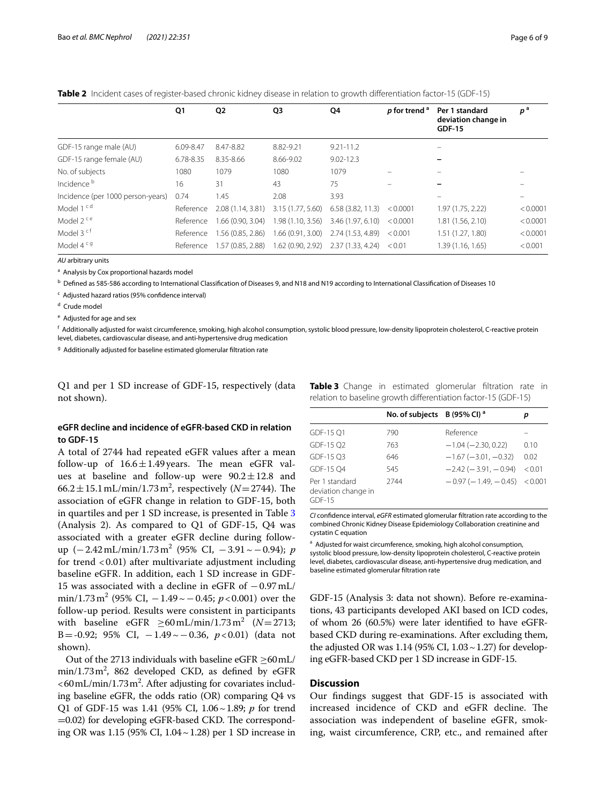|                                   | Q1        | Q <sub>2</sub>    | Q3                | Q4                                  | p for trend <sup>a</sup> | Per 1 standard<br>deviation change in<br><b>GDF-15</b> | $p^{\,a}$ |
|-----------------------------------|-----------|-------------------|-------------------|-------------------------------------|--------------------------|--------------------------------------------------------|-----------|
| GDF-15 range male (AU)            | 6.09-8.47 | 8.47-8.82         | 8.82-9.21         | $9.21 - 11.2$                       |                          |                                                        |           |
| GDF-15 range female (AU)          | 6.78-8.35 | 8.35-8.66         | 8.66-9.02         | $9.02 - 12.3$                       |                          | $=$                                                    |           |
| No. of subjects                   | 1080      | 1079              | 1080              | 1079                                |                          |                                                        |           |
| Incidence <sup>b</sup>            | 16        | 31                | 43                | 75                                  |                          |                                                        |           |
| Incidence (per 1000 person-years) | 0.74      | 1.45              | 2.08              | 3.93                                |                          |                                                        |           |
| Model 1 <sup>cd</sup>             | Reference | 2.08(1.14, 3.81)  | 3.15 (1.77, 5.60) | 6.58(3.82, 11.3)                    | < 0.0001                 | 1.97 (1.75, 2.22)                                      | < 0.0001  |
| Model 2 <sup>ce</sup>             | Reference | 1.66 (0.90, 3.04) | 1.98(1.10, 3.56)  | 3.46 (1.97, 6.10)                   | < 0.0001                 | 1.81 (1.56, 2.10)                                      | < 0.0001  |
| Model 3 cf                        | Reference | 1.56 (0.85, 2.86) | 1.66(0.91, 3.00)  | 2.74 (1.53, 4.89)                   | < 0.001                  | 1.51 (1.27, 1.80)                                      | < 0.0001  |
| Model 4 <sup>cg</sup>             | Reference | 1.57 (0.85, 2.88) |                   | 1.62 (0.90, 2.92) 2.37 (1.33, 4.24) | < 0.01                   | 1.39 (1.16, 1.65)                                      | < 0.001   |

<span id="page-5-0"></span>**Table 2** Incident cases of register-based chronic kidney disease in relation to growth differentiation factor-15 (GDF-15)

*AU* arbitrary units

<sup>a</sup> Analysis by Cox proportional hazards model

 $^{\rm b}$  Defined as 585-586 according to International Classification of Diseases 9, and N18 and N19 according to International Classification of Diseases 10

<sup>c</sup> Adjusted hazard ratios (95% confidence interval)

<sup>d</sup> Crude model

<sup>e</sup> Adjusted for age and sex

f Additionally adjusted for waist circumference, smoking, high alcohol consumption, systolic blood pressure, low-density lipoprotein cholesterol, C-reactive protein level, diabetes, cardiovascular disease, and anti-hypertensive drug medication

<sup>g</sup> Additionally adjusted for baseline estimated glomerular filtration rate

Q1 and per 1 SD increase of GDF-15, respectively (data not shown).

# **eGFR decline and incidence of eGFR‑based CKD in relation to GDF‑15**

A total of 2744 had repeated eGFR values after a mean follow-up of  $16.6 \pm 1.49$  years. The mean eGFR values at baseline and follow-up were  $90.2 \pm 12.8$  and  $66.2 \pm 15.1 \,\text{mL/min}/1.73 \,\text{m}^2$ , respectively ( $N = 2744$ ). The association of eGFR change in relation to GDF-15, both in quartiles and per 1 SD increase, is presented in Table [3](#page-5-1) (Analysis 2). As compared to Q1 of GDF-15, Q4 was associated with a greater eGFR decline during followup (−2.42mL/min/1.73 m<sup>2</sup> (95% CI, −3.91~−0.94); *p* for trend  $< 0.01$ ) after multivariate adjustment including baseline eGFR. In addition, each 1 SD increase in GDF-15 was associated with a decline in eGFR of −0.97mL/ min/1.73 m<sup>2</sup> (95% CI, −1.49 ~ −0.45; *p* <0.001) over the follow-up period. Results were consistent in participants with baseline  $eGFR \ge 60 \text{ mL/min}/1.73 \text{ m}^2$  ( $N=2713$ ; B=-0.92; 95% CI, −1.49~−0.36, *p*<0.01) (data not shown).

Out of the 2713 individuals with baseline eGFR  $\geq$ 60 mL/  $min/1.73 m^2$ , 862 developed CKD, as defined by eGFR  $<$  60 mL/min/1.73 m<sup>2</sup>. After adjusting for covariates including baseline eGFR, the odds ratio (OR) comparing Q4 vs Q1 of GDF-15 was 1.41 (95% CI, 1.06~1.89; *p* for trend  $=0.02$ ) for developing eGFR-based CKD. The corresponding OR was 1.15 (95% CI, 1.04~1.28) per 1 SD increase in

<span id="page-5-1"></span>**Table 3** Change in estimated glomerular filtration rate in relation to baseline growth diferentiation factor-15 (GDF-15)

|                                                   | No. of subjects B (95% CI) <sup>a</sup> |                               | р      |
|---------------------------------------------------|-----------------------------------------|-------------------------------|--------|
| GDF-15 O1                                         | 790                                     | Reference                     |        |
| GDF-15 O2                                         | 763                                     | $-1.04$ ( $-2.30$ , 0.22)     | 0.10   |
| GDF-15 O3                                         | 646                                     | $-1.67(-3.01, -0.32)$         | 0.02   |
| GDF-15 O4                                         | 545                                     | $-2.42(-3.91,-0.94)$          | < 0.01 |
| Per 1 standard<br>deviation change in<br>$GDF-15$ | 2744                                    | $-0.97(-1.49, -0.45)$ < 0.001 |        |

*CI* confdence interval, *eGFR* estimated glomerular fltration rate according to the combined Chronic Kidney Disease Epidemiology Collaboration creatinine and cystatin C equation

<sup>a</sup> Adjusted for waist circumference, smoking, high alcohol consumption, systolic blood pressure, low-density lipoprotein cholesterol, C-reactive protein level, diabetes, cardiovascular disease, anti-hypertensive drug medication, and baseline estimated glomerular fltration rate

GDF-15 (Analysis 3: data not shown). Before re-examinations, 43 participants developed AKI based on ICD codes, of whom 26 (60.5%) were later identifed to have eGFRbased CKD during re-examinations. After excluding them, the adjusted OR was  $1.14$  (95% CI,  $1.03 \sim 1.27$ ) for developing eGFR-based CKD per 1 SD increase in GDF-15.

# **Discussion**

Our fndings suggest that GDF-15 is associated with increased incidence of CKD and eGFR decline. The association was independent of baseline eGFR, smoking, waist circumference, CRP, etc., and remained after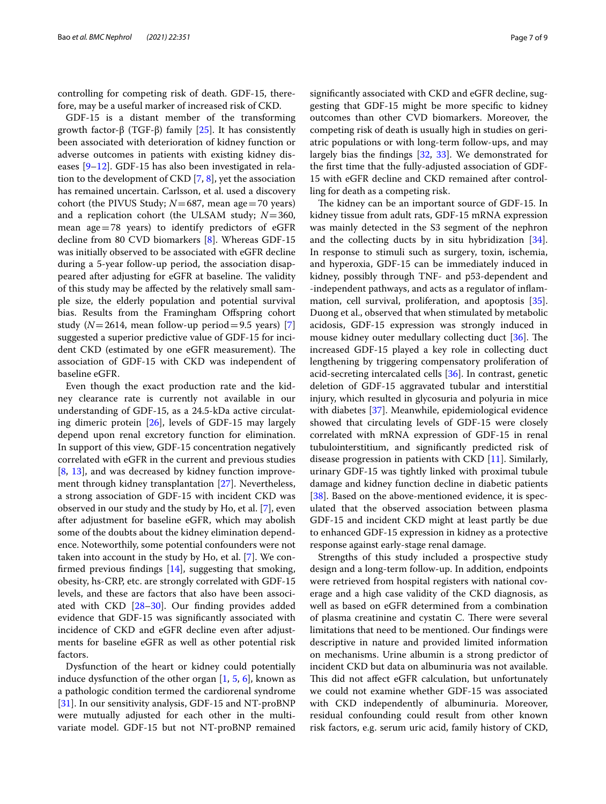controlling for competing risk of death. GDF-15, therefore, may be a useful marker of increased risk of CKD.

GDF-15 is a distant member of the transforming growth factor-β (TGF-β) family [[25\]](#page-8-12). It has consistently been associated with deterioration of kidney function or adverse outcomes in patients with existing kidney diseases [\[9](#page-7-7)[–12\]](#page-7-8). GDF-15 has also been investigated in relation to the development of CKD [\[7](#page-7-6), [8\]](#page-7-11), yet the association has remained uncertain. Carlsson, et al. used a discovery cohort (the PIVUS Study; *N*=687, mean age=70 years) and a replication cohort (the ULSAM study; *N*=360, mean age=78 years) to identify predictors of eGFR decline from 80 CVD biomarkers [[8\]](#page-7-11). Whereas GDF-15 was initially observed to be associated with eGFR decline during a 5-year follow-up period, the association disappeared after adjusting for eGFR at baseline. The validity of this study may be afected by the relatively small sample size, the elderly population and potential survival bias. Results from the Framingham Offspring cohort study ( $N=2614$ , mean follow-up period = 9.5 years) [\[7](#page-7-6)] suggested a superior predictive value of GDF-15 for incident CKD (estimated by one eGFR measurement). The association of GDF-15 with CKD was independent of baseline eGFR.

Even though the exact production rate and the kidney clearance rate is currently not available in our understanding of GDF-15, as a 24.5-kDa active circulating dimeric protein [[26](#page-8-13)], levels of GDF-15 may largely depend upon renal excretory function for elimination. In support of this view, GDF-15 concentration negatively correlated with eGFR in the current and previous studies [[8,](#page-7-11) [13](#page-8-0)], and was decreased by kidney function improvement through kidney transplantation [[27\]](#page-8-14). Nevertheless, a strong association of GDF-15 with incident CKD was observed in our study and the study by Ho, et al. [[7\]](#page-7-6), even after adjustment for baseline eGFR, which may abolish some of the doubts about the kidney elimination dependence. Noteworthily, some potential confounders were not taken into account in the study by Ho, et al. [[7](#page-7-6)]. We confrmed previous fndings [\[14\]](#page-8-1), suggesting that smoking, obesity, hs-CRP, etc. are strongly correlated with GDF-15 levels, and these are factors that also have been associated with CKD [\[28](#page-8-15)[–30](#page-8-16)]. Our fnding provides added evidence that GDF-15 was signifcantly associated with incidence of CKD and eGFR decline even after adjustments for baseline eGFR as well as other potential risk factors.

Dysfunction of the heart or kidney could potentially induce dysfunction of the other organ  $[1, 5, 6]$  $[1, 5, 6]$  $[1, 5, 6]$  $[1, 5, 6]$  $[1, 5, 6]$  $[1, 5, 6]$ , known as a pathologic condition termed the cardiorenal syndrome [[31\]](#page-8-17). In our sensitivity analysis, GDF-15 and NT-proBNP were mutually adjusted for each other in the multivariate model. GDF-15 but not NT-proBNP remained

signifcantly associated with CKD and eGFR decline, suggesting that GDF-15 might be more specifc to kidney outcomes than other CVD biomarkers. Moreover, the competing risk of death is usually high in studies on geriatric populations or with long-term follow-ups, and may largely bias the fndings [[32,](#page-8-18) [33\]](#page-8-19). We demonstrated for the frst time that the fully-adjusted association of GDF-15 with eGFR decline and CKD remained after controlling for death as a competing risk.

The kidney can be an important source of GDF-15. In kidney tissue from adult rats, GDF-15 mRNA expression was mainly detected in the S3 segment of the nephron and the collecting ducts by in situ hybridization  $[34]$  $[34]$ . In response to stimuli such as surgery, toxin, ischemia, and hyperoxia, GDF-15 can be immediately induced in kidney, possibly through TNF- and p53-dependent and -independent pathways, and acts as a regulator of infammation, cell survival, proliferation, and apoptosis [\[35](#page-8-21)]. Duong et al., observed that when stimulated by metabolic acidosis, GDF-15 expression was strongly induced in mouse kidney outer medullary collecting duct  $[36]$  $[36]$  $[36]$ . The increased GDF-15 played a key role in collecting duct lengthening by triggering compensatory proliferation of acid-secreting intercalated cells [\[36](#page-8-22)]. In contrast, genetic deletion of GDF-15 aggravated tubular and interstitial injury, which resulted in glycosuria and polyuria in mice with diabetes [[37\]](#page-8-23). Meanwhile, epidemiological evidence showed that circulating levels of GDF-15 were closely correlated with mRNA expression of GDF-15 in renal tubulointerstitium, and signifcantly predicted risk of disease progression in patients with CKD [\[11](#page-7-10)]. Similarly, urinary GDF-15 was tightly linked with proximal tubule damage and kidney function decline in diabetic patients [[38\]](#page-8-24). Based on the above-mentioned evidence, it is speculated that the observed association between plasma GDF-15 and incident CKD might at least partly be due to enhanced GDF-15 expression in kidney as a protective response against early-stage renal damage.

Strengths of this study included a prospective study design and a long-term follow-up. In addition, endpoints were retrieved from hospital registers with national coverage and a high case validity of the CKD diagnosis, as well as based on eGFR determined from a combination of plasma creatinine and cystatin C. There were several limitations that need to be mentioned. Our fndings were descriptive in nature and provided limited information on mechanisms. Urine albumin is a strong predictor of incident CKD but data on albuminuria was not available. This did not affect eGFR calculation, but unfortunately we could not examine whether GDF-15 was associated with CKD independently of albuminuria. Moreover, residual confounding could result from other known risk factors, e.g. serum uric acid, family history of CKD,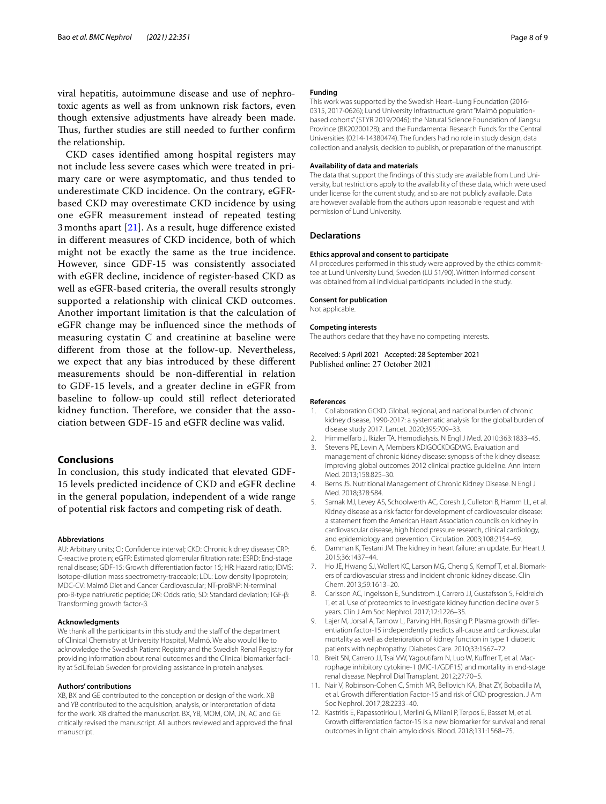viral hepatitis, autoimmune disease and use of nephrotoxic agents as well as from unknown risk factors, even though extensive adjustments have already been made. Thus, further studies are still needed to further confirm the relationship.

CKD cases identifed among hospital registers may not include less severe cases which were treated in primary care or were asymptomatic, and thus tended to underestimate CKD incidence. On the contrary, eGFRbased CKD may overestimate CKD incidence by using one eGFR measurement instead of repeated testing 3 months apart [[21\]](#page-8-8). As a result, huge diference existed in diferent measures of CKD incidence, both of which might not be exactly the same as the true incidence. However, since GDF-15 was consistently associated with eGFR decline, incidence of register-based CKD as well as eGFR-based criteria, the overall results strongly supported a relationship with clinical CKD outcomes. Another important limitation is that the calculation of eGFR change may be infuenced since the methods of measuring cystatin C and creatinine at baseline were diferent from those at the follow-up. Nevertheless, we expect that any bias introduced by these diferent measurements should be non-diferential in relation to GDF-15 levels, and a greater decline in eGFR from baseline to follow-up could still refect deteriorated kidney function. Therefore, we consider that the association between GDF-15 and eGFR decline was valid.

# **Conclusions**

In conclusion, this study indicated that elevated GDF-15 levels predicted incidence of CKD and eGFR decline in the general population, independent of a wide range of potential risk factors and competing risk of death.

#### **Abbreviations**

AU: Arbitrary units; CI: Confdence interval; CKD: Chronic kidney disease; CRP: C-reactive protein; eGFR: Estimated glomerular fltration rate; ESRD: End-stage renal disease; GDF-15: Growth diferentiation factor 15; HR: Hazard ratio; IDMS: Isotope-dilution mass spectrometry-traceable; LDL: Low density lipoprotein; MDC-CV: Malmö Diet and Cancer Cardiovascular; NT-proBNP: N-terminal pro-B-type natriuretic peptide; OR: Odds ratio; SD: Standard deviation; TGF-β: Transforming growth factor-β.

## **Acknowledgments**

We thank all the participants in this study and the staff of the department of Clinical Chemistry at University Hospital, Malmö. We also would like to acknowledge the Swedish Patient Registry and the Swedish Renal Registry for providing information about renal outcomes and the Clinical biomarker facility at SciLifeLab Sweden for providing assistance in protein analyses.

#### **Authors' contributions**

XB, BX and GE contributed to the conception or design of the work. XB and YB contributed to the acquisition, analysis, or interpretation of data for the work. XB drafted the manuscript. BX, YB, MOM, OM, JN, AC and GE critically revised the manuscript. All authors reviewed and approved the fnal manuscript.

#### **Funding**

This work was supported by the Swedish Heart–Lung Foundation (2016-0315, 2017-0626); Lund University Infrastructure grant "Malmö populationbased cohorts" (STYR 2019/2046); the Natural Science Foundation of Jiangsu Province (BK20200128); and the Fundamental Research Funds for the Central Universities (0214-14380474). The funders had no role in study design, data collection and analysis, decision to publish, or preparation of the manuscript.

#### **Availability of data and materials**

The data that support the findings of this study are available from Lund University, but restrictions apply to the availability of these data, which were used under license for the current study, and so are not publicly available. Data are however available from the authors upon reasonable request and with permission of Lund University.

#### **Declarations**

#### **Ethics approval and consent to participate**

All procedures performed in this study were approved by the ethics committee at Lund University Lund, Sweden (LU 51/90). Written informed consent was obtained from all individual participants included in the study.

#### **Consent for publication**

Not applicable.

#### **Competing interests**

The authors declare that they have no competing interests.

Received: 5 April 2021 Accepted: 28 September 2021

## **References**

- <span id="page-7-0"></span>1. Collaboration GCKD. Global, regional, and national burden of chronic kidney disease, 1990-2017: a systematic analysis for the global burden of disease study 2017. Lancet. 2020;395:709–33.
- <span id="page-7-1"></span>2. Himmelfarb J, Ikizler TA. Hemodialysis. N Engl J Med. 2010;363:1833–45.
- <span id="page-7-2"></span>3. Stevens PE, Levin A, Members KDIGOCKDGDWG. Evaluation and management of chronic kidney disease: synopsis of the kidney disease: improving global outcomes 2012 clinical practice guideline. Ann Intern Med. 2013;158:825–30.
- <span id="page-7-3"></span>4. Berns JS. Nutritional Management of Chronic Kidney Disease. N Engl J Med. 2018;378:584.
- <span id="page-7-4"></span>5. Sarnak MJ, Levey AS, Schoolwerth AC, Coresh J, Culleton B, Hamm LL, et al. Kidney disease as a risk factor for development of cardiovascular disease: a statement from the American Heart Association councils on kidney in cardiovascular disease, high blood pressure research, clinical cardiology, and epidemiology and prevention. Circulation. 2003;108:2154–69.
- <span id="page-7-5"></span>6. Damman K, Testani JM. The kidney in heart failure: an update. Eur Heart J. 2015;36:1437–44.
- <span id="page-7-6"></span>7. Ho JE, Hwang SJ, Wollert KC, Larson MG, Cheng S, Kempf T, et al. Biomarkers of cardiovascular stress and incident chronic kidney disease. Clin Chem. 2013;59:1613–20.
- <span id="page-7-11"></span>Carlsson AC, Ingelsson E, Sundstrom J, Carrero JJ, Gustafsson S, Feldreich T, et al. Use of proteomics to investigate kidney function decline over 5 years. Clin J Am Soc Nephrol. 2017;12:1226–35.
- <span id="page-7-7"></span>9. Lajer M, Jorsal A, Tarnow L, Parving HH, Rossing P. Plasma growth differentiation factor-15 independently predicts all-cause and cardiovascular mortality as well as deterioration of kidney function in type 1 diabetic patients with nephropathy. Diabetes Care. 2010;33:1567–72.
- <span id="page-7-9"></span>10. Breit SN, Carrero JJ, Tsai VW, Yagoutifam N, Luo W, Kuffner T, et al. Macrophage inhibitory cytokine-1 (MIC-1/GDF15) and mortality in end-stage renal disease. Nephrol Dial Transplant. 2012;27:70–5.
- <span id="page-7-10"></span>11. Nair V, Robinson-Cohen C, Smith MR, Bellovich KA, Bhat ZY, Bobadilla M, et al. Growth diferentiation Factor-15 and risk of CKD progression. J Am Soc Nephrol. 2017;28:2233–40.
- <span id="page-7-8"></span>12. Kastritis E, Papassotiriou I, Merlini G, Milani P, Terpos E, Basset M, et al. Growth diferentiation factor-15 is a new biomarker for survival and renal outcomes in light chain amyloidosis. Blood. 2018;131:1568–75.